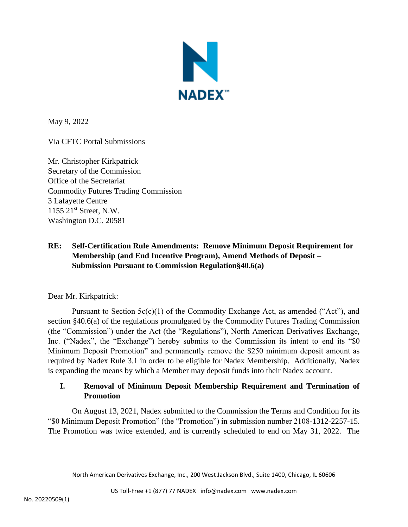

May 9, 2022

Via CFTC Portal Submissions

Mr. Christopher Kirkpatrick Secretary of the Commission Office of the Secretariat Commodity Futures Trading Commission 3 Lafayette Centre 1155 21st Street, N.W. Washington D.C. 20581

# **RE: Self-Certification Rule Amendments: Remove Minimum Deposit Requirement for Membership (and End Incentive Program), Amend Methods of Deposit – Submission Pursuant to Commission Regulation§40.6(a)**

Dear Mr. Kirkpatrick:

Pursuant to Section  $5c(c)(1)$  of the Commodity Exchange Act, as amended ("Act"), and section §40.6(a) of the regulations promulgated by the Commodity Futures Trading Commission (the "Commission") under the Act (the "Regulations"), North American Derivatives Exchange, Inc. ("Nadex", the "Exchange") hereby submits to the Commission its intent to end its "\$0 Minimum Deposit Promotion" and permanently remove the \$250 minimum deposit amount as required by Nadex Rule 3.1 in order to be eligible for Nadex Membership. Additionally, Nadex is expanding the means by which a Member may deposit funds into their Nadex account.

# **I. Removal of Minimum Deposit Membership Requirement and Termination of Promotion**

On August 13, 2021, Nadex submitted to the Commission the Terms and Condition for its "\$0 Minimum Deposit Promotion" (the "Promotion") in submission number 2108-1312-2257-15. The Promotion was twice extended, and is currently scheduled to end on May 31, 2022. The

North American Derivatives Exchange, Inc., 200 West Jackson Blvd., Suite 1400, Chicago, IL 60606

US Toll-Free +1 (877) 77 NADEX info@nadex.com www.nadex.com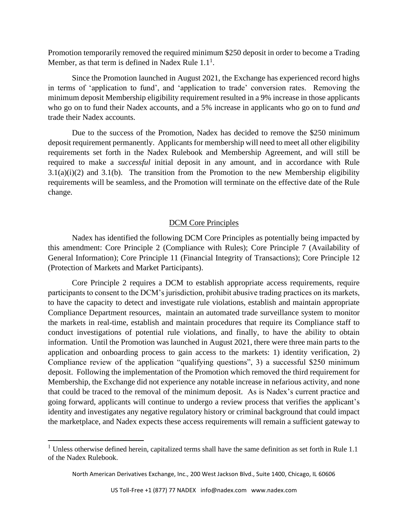Promotion temporarily removed the required minimum \$250 deposit in order to become a Trading Member, as that term is defined in Nadex Rule  $1.1<sup>1</sup>$ .

Since the Promotion launched in August 2021, the Exchange has experienced record highs in terms of 'application to fund', and 'application to trade' conversion rates. Removing the minimum deposit Membership eligibility requirement resulted in a 9% increase in those applicants who go on to fund their Nadex accounts, and a 5% increase in applicants who go on to fund *and* trade their Nadex accounts.

Due to the success of the Promotion, Nadex has decided to remove the \$250 minimum deposit requirement permanently. Applicants for membership will need to meet all other eligibility requirements set forth in the Nadex Rulebook and Membership Agreement, and will still be required to make a *successful* initial deposit in any amount, and in accordance with Rule  $3.1(a)(i)(2)$  and  $3.1(b)$ . The transition from the Promotion to the new Membership eligibility requirements will be seamless, and the Promotion will terminate on the effective date of the Rule change.

#### DCM Core Principles

Nadex has identified the following DCM Core Principles as potentially being impacted by this amendment: Core Principle 2 (Compliance with Rules); Core Principle 7 (Availability of General Information); Core Principle 11 (Financial Integrity of Transactions); Core Principle 12 (Protection of Markets and Market Participants).

Core Principle 2 requires a DCM to establish appropriate access requirements, require participants to consent to the DCM's jurisdiction, prohibit abusive trading practices on its markets, to have the capacity to detect and investigate rule violations, establish and maintain appropriate Compliance Department resources, maintain an automated trade surveillance system to monitor the markets in real-time, establish and maintain procedures that require its Compliance staff to conduct investigations of potential rule violations, and finally, to have the ability to obtain information. Until the Promotion was launched in August 2021, there were three main parts to the application and onboarding process to gain access to the markets: 1) identity verification, 2) Compliance review of the application "qualifying questions", 3) a successful \$250 minimum deposit. Following the implementation of the Promotion which removed the third requirement for Membership, the Exchange did not experience any notable increase in nefarious activity, and none that could be traced to the removal of the minimum deposit. As is Nadex's current practice and going forward, applicants will continue to undergo a review process that verifies the applicant's identity and investigates any negative regulatory history or criminal background that could impact the marketplace, and Nadex expects these access requirements will remain a sufficient gateway to

 $1$  Unless otherwise defined herein, capitalized terms shall have the same definition as set forth in Rule 1.1 of the Nadex Rulebook.

North American Derivatives Exchange, Inc., 200 West Jackson Blvd., Suite 1400, Chicago, IL 60606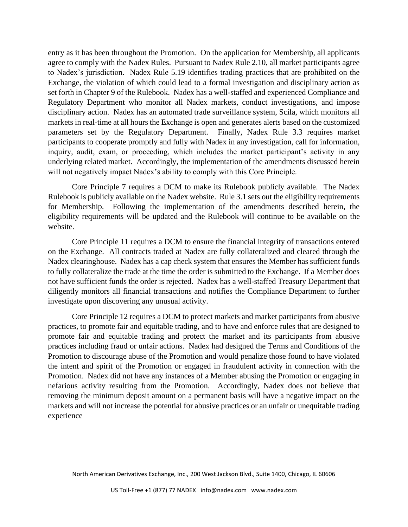entry as it has been throughout the Promotion. On the application for Membership, all applicants agree to comply with the Nadex Rules. Pursuant to Nadex Rule 2.10, all market participants agree to Nadex's jurisdiction. Nadex Rule 5.19 identifies trading practices that are prohibited on the Exchange, the violation of which could lead to a formal investigation and disciplinary action as set forth in Chapter 9 of the Rulebook. Nadex has a well-staffed and experienced Compliance and Regulatory Department who monitor all Nadex markets, conduct investigations, and impose disciplinary action. Nadex has an automated trade surveillance system, Scila, which monitors all markets in real-time at all hours the Exchange is open and generates alerts based on the customized parameters set by the Regulatory Department. Finally, Nadex Rule 3.3 requires market participants to cooperate promptly and fully with Nadex in any investigation, call for information, inquiry, audit, exam, or proceeding, which includes the market participant's activity in any underlying related market. Accordingly, the implementation of the amendments discussed herein will not negatively impact Nadex's ability to comply with this Core Principle.

Core Principle 7 requires a DCM to make its Rulebook publicly available. The Nadex Rulebook is publicly available on the Nadex website. Rule 3.1 sets out the eligibility requirements for Membership. Following the implementation of the amendments described herein, the eligibility requirements will be updated and the Rulebook will continue to be available on the website.

Core Principle 11 requires a DCM to ensure the financial integrity of transactions entered on the Exchange. All contracts traded at Nadex are fully collateralized and cleared through the Nadex clearinghouse. Nadex has a cap check system that ensures the Member has sufficient funds to fully collateralize the trade at the time the order is submitted to the Exchange. If a Member does not have sufficient funds the order is rejected. Nadex has a well-staffed Treasury Department that diligently monitors all financial transactions and notifies the Compliance Department to further investigate upon discovering any unusual activity.

Core Principle 12 requires a DCM to protect markets and market participants from abusive practices, to promote fair and equitable trading, and to have and enforce rules that are designed to promote fair and equitable trading and protect the market and its participants from abusive practices including fraud or unfair actions. Nadex had designed the Terms and Conditions of the Promotion to discourage abuse of the Promotion and would penalize those found to have violated the intent and spirit of the Promotion or engaged in fraudulent activity in connection with the Promotion. Nadex did not have any instances of a Member abusing the Promotion or engaging in nefarious activity resulting from the Promotion. Accordingly, Nadex does not believe that removing the minimum deposit amount on a permanent basis will have a negative impact on the markets and will not increase the potential for abusive practices or an unfair or unequitable trading experience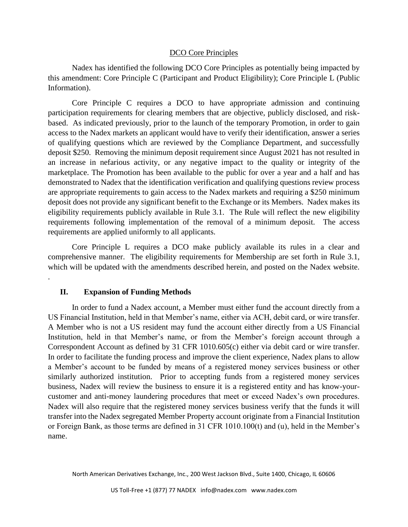## DCO Core Principles

Nadex has identified the following DCO Core Principles as potentially being impacted by this amendment: Core Principle C (Participant and Product Eligibility); Core Principle L (Public Information).

Core Principle C requires a DCO to have appropriate admission and continuing participation requirements for clearing members that are objective, publicly disclosed, and riskbased. As indicated previously, prior to the launch of the temporary Promotion, in order to gain access to the Nadex markets an applicant would have to verify their identification, answer a series of qualifying questions which are reviewed by the Compliance Department, and successfully deposit \$250. Removing the minimum deposit requirement since August 2021 has not resulted in an increase in nefarious activity, or any negative impact to the quality or integrity of the marketplace. The Promotion has been available to the public for over a year and a half and has demonstrated to Nadex that the identification verification and qualifying questions review process are appropriate requirements to gain access to the Nadex markets and requiring a \$250 minimum deposit does not provide any significant benefit to the Exchange or its Members. Nadex makes its eligibility requirements publicly available in Rule 3.1. The Rule will reflect the new eligibility requirements following implementation of the removal of a minimum deposit. The access requirements are applied uniformly to all applicants.

Core Principle L requires a DCO make publicly available its rules in a clear and comprehensive manner. The eligibility requirements for Membership are set forth in Rule 3.1, which will be updated with the amendments described herein, and posted on the Nadex website. .

#### **II. Expansion of Funding Methods**

In order to fund a Nadex account, a Member must either fund the account directly from a US Financial Institution, held in that Member's name, either via ACH, debit card, or wire transfer. A Member who is not a US resident may fund the account either directly from a US Financial Institution, held in that Member's name, or from the Member's foreign account through a Correspondent Account as defined by 31 CFR 1010.605(c) either via debit card or wire transfer. In order to facilitate the funding process and improve the client experience, Nadex plans to allow a Member's account to be funded by means of a registered money services business or other similarly authorized institution. Prior to accepting funds from a registered money services business, Nadex will review the business to ensure it is a registered entity and has know-yourcustomer and anti-money laundering procedures that meet or exceed Nadex's own procedures. Nadex will also require that the registered money services business verify that the funds it will transfer into the Nadex segregated Member Property account originate from a Financial Institution or Foreign Bank, as those terms are defined in 31 CFR 1010.100(t) and (u), held in the Member's name.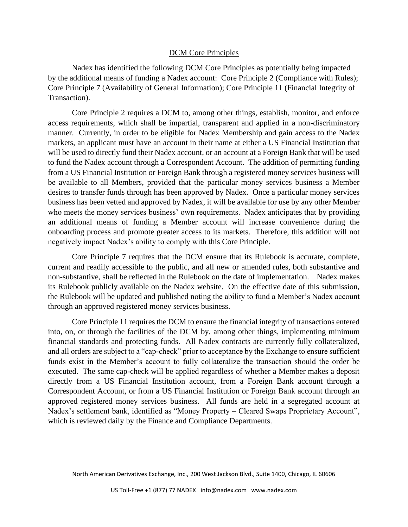## DCM Core Principles

Nadex has identified the following DCM Core Principles as potentially being impacted by the additional means of funding a Nadex account: Core Principle 2 (Compliance with Rules); Core Principle 7 (Availability of General Information); Core Principle 11 (Financial Integrity of Transaction).

Core Principle 2 requires a DCM to, among other things, establish, monitor, and enforce access requirements, which shall be impartial, transparent and applied in a non-discriminatory manner. Currently, in order to be eligible for Nadex Membership and gain access to the Nadex markets, an applicant must have an account in their name at either a US Financial Institution that will be used to directly fund their Nadex account, or an account at a Foreign Bank that will be used to fund the Nadex account through a Correspondent Account. The addition of permitting funding from a US Financial Institution or Foreign Bank through a registered money services business will be available to all Members, provided that the particular money services business a Member desires to transfer funds through has been approved by Nadex. Once a particular money services business has been vetted and approved by Nadex, it will be available for use by any other Member who meets the money services business' own requirements. Nadex anticipates that by providing an additional means of funding a Member account will increase convenience during the onboarding process and promote greater access to its markets. Therefore, this addition will not negatively impact Nadex's ability to comply with this Core Principle.

Core Principle 7 requires that the DCM ensure that its Rulebook is accurate, complete, current and readily accessible to the public, and all new or amended rules, both substantive and non-substantive, shall be reflected in the Rulebook on the date of implementation. Nadex makes its Rulebook publicly available on the Nadex website. On the effective date of this submission, the Rulebook will be updated and published noting the ability to fund a Member's Nadex account through an approved registered money services business.

Core Principle 11 requires the DCM to ensure the financial integrity of transactions entered into, on, or through the facilities of the DCM by, among other things, implementing minimum financial standards and protecting funds. All Nadex contracts are currently fully collateralized, and all orders are subject to a "cap-check" prior to acceptance by the Exchange to ensure sufficient funds exist in the Member's account to fully collateralize the transaction should the order be executed. The same cap-check will be applied regardless of whether a Member makes a deposit directly from a US Financial Institution account, from a Foreign Bank account through a Correspondent Account, or from a US Financial Institution or Foreign Bank account through an approved registered money services business. All funds are held in a segregated account at Nadex's settlement bank, identified as "Money Property – Cleared Swaps Proprietary Account", which is reviewed daily by the Finance and Compliance Departments.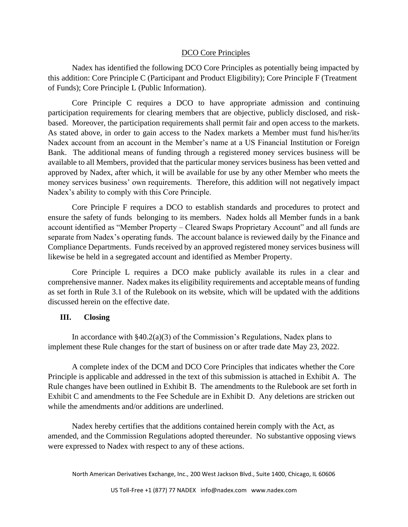## DCO Core Principles

Nadex has identified the following DCO Core Principles as potentially being impacted by this addition: Core Principle C (Participant and Product Eligibility); Core Principle F (Treatment of Funds); Core Principle L (Public Information).

Core Principle C requires a DCO to have appropriate admission and continuing participation requirements for clearing members that are objective, publicly disclosed, and riskbased. Moreover, the participation requirements shall permit fair and open access to the markets. As stated above, in order to gain access to the Nadex markets a Member must fund his/her/its Nadex account from an account in the Member's name at a US Financial Institution or Foreign Bank. The additional means of funding through a registered money services business will be available to all Members, provided that the particular money services business has been vetted and approved by Nadex, after which, it will be available for use by any other Member who meets the money services business' own requirements. Therefore, this addition will not negatively impact Nadex's ability to comply with this Core Principle.

Core Principle F requires a DCO to establish standards and procedures to protect and ensure the safety of funds belonging to its members. Nadex holds all Member funds in a bank account identified as "Member Property – Cleared Swaps Proprietary Account" and all funds are separate from Nadex's operating funds. The account balance is reviewed daily by the Finance and Compliance Departments. Funds received by an approved registered money services business will likewise be held in a segregated account and identified as Member Property.

Core Principle L requires a DCO make publicly available its rules in a clear and comprehensive manner. Nadex makes its eligibility requirements and acceptable means of funding as set forth in Rule 3.1 of the Rulebook on its website, which will be updated with the additions discussed herein on the effective date.

## **III. Closing**

In accordance with  $\S 40.2(a)(3)$  of the Commission's Regulations, Nadex plans to implement these Rule changes for the start of business on or after trade date May 23, 2022.

A complete index of the DCM and DCO Core Principles that indicates whether the Core Principle is applicable and addressed in the text of this submission is attached in Exhibit A. The Rule changes have been outlined in Exhibit B. The amendments to the Rulebook are set forth in Exhibit C and amendments to the Fee Schedule are in Exhibit D. Any deletions are stricken out while the amendments and/or additions are underlined.

Nadex hereby certifies that the additions contained herein comply with the Act, as amended, and the Commission Regulations adopted thereunder. No substantive opposing views were expressed to Nadex with respect to any of these actions.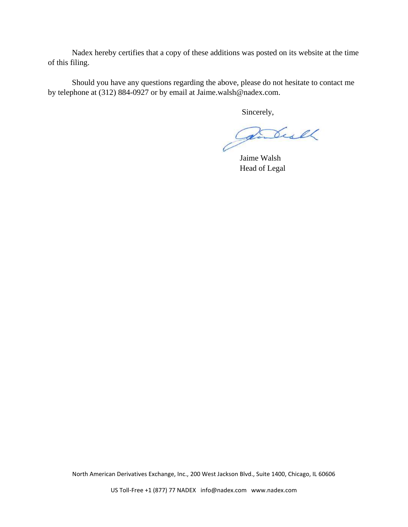Nadex hereby certifies that a copy of these additions was posted on its website at the time of this filing.

Should you have any questions regarding the above, please do not hesitate to contact me by telephone at (312) 884-0927 or by email at Jaime.walsh@nadex.com.

Sincerely,

Partial

Jaime Walsh Head of Legal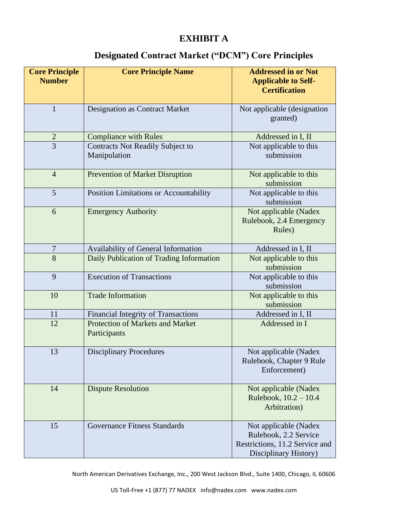# **EXHIBIT A**

# **Designated Contract Market ("DCM") Core Principles**

| <b>Core Principle</b><br><b>Number</b> | <b>Core Principle Name</b>                              | <b>Addressed in or Not</b><br><b>Applicable to Self-</b><br><b>Certification</b>                          |  |
|----------------------------------------|---------------------------------------------------------|-----------------------------------------------------------------------------------------------------------|--|
| $\mathbf{1}$                           | <b>Designation as Contract Market</b>                   | Not applicable (designation<br>granted)                                                                   |  |
| $\overline{2}$                         | <b>Compliance with Rules</b>                            | Addressed in I, II                                                                                        |  |
| $\overline{3}$                         | <b>Contracts Not Readily Subject to</b><br>Manipulation | Not applicable to this<br>submission                                                                      |  |
| $\overline{4}$                         | <b>Prevention of Market Disruption</b>                  | Not applicable to this<br>submission                                                                      |  |
| 5                                      | Position Limitations or Accountability                  | Not applicable to this<br>submission                                                                      |  |
| 6                                      | <b>Emergency Authority</b>                              | Not applicable (Nadex<br>Rulebook, 2.4 Emergency<br>Rules)                                                |  |
| $\overline{7}$                         | Availability of General Information                     | Addressed in I, II                                                                                        |  |
| $\overline{8}$                         | Daily Publication of Trading Information                | Not applicable to this<br>submission                                                                      |  |
| 9                                      | <b>Execution of Transactions</b>                        | Not applicable to this<br>submission                                                                      |  |
| 10                                     | <b>Trade Information</b>                                | Not applicable to this<br>submission                                                                      |  |
| 11                                     | <b>Financial Integrity of Transactions</b>              | Addressed in I, II                                                                                        |  |
| 12                                     | Protection of Markets and Market<br>Participants        | Addressed in I                                                                                            |  |
| 13                                     | <b>Disciplinary Procedures</b>                          | Not applicable (Nadex<br>Rulebook, Chapter 9 Rule<br>Enforcement)                                         |  |
| 14                                     | <b>Dispute Resolution</b>                               | Not applicable (Nadex<br>Rulebook, 10.2 - 10.4<br>Arbitration)                                            |  |
| 15                                     | <b>Governance Fitness Standards</b>                     | Not applicable (Nadex<br>Rulebook, 2.2 Service<br>Restrictions, 11.2 Service and<br>Disciplinary History) |  |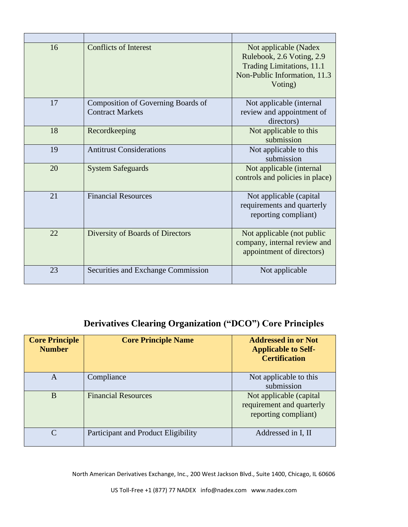| 16 | <b>Conflicts of Interest</b>                                  | Not applicable (Nadex<br>Rulebook, 2.6 Voting, 2.9<br>Trading Limitations, 11.1<br>Non-Public Information, 11.3<br>Voting) |  |
|----|---------------------------------------------------------------|----------------------------------------------------------------------------------------------------------------------------|--|
| 17 | Composition of Governing Boards of<br><b>Contract Markets</b> | Not applicable (internal<br>review and appointment of<br>directors)                                                        |  |
| 18 | Recordkeeping                                                 | Not applicable to this<br>submission                                                                                       |  |
| 19 | <b>Antitrust Considerations</b>                               | Not applicable to this<br>submission                                                                                       |  |
| 20 | <b>System Safeguards</b>                                      | Not applicable (internal<br>controls and policies in place)                                                                |  |
| 21 | <b>Financial Resources</b>                                    | Not applicable (capital<br>requirements and quarterly<br>reporting compliant)                                              |  |
| 22 | Diversity of Boards of Directors                              | Not applicable (not public<br>company, internal review and<br>appointment of directors)                                    |  |
| 23 | Securities and Exchange Commission                            | Not applicable                                                                                                             |  |

# **Derivatives Clearing Organization ("DCO") Core Principles**

| <b>Core Principle</b><br><b>Number</b> | <b>Core Principle Name</b>          | <b>Addressed in or Not</b><br><b>Applicable to Self-</b><br><b>Certification</b> |
|----------------------------------------|-------------------------------------|----------------------------------------------------------------------------------|
| A                                      | Compliance                          | Not applicable to this<br>submission                                             |
| B                                      | <b>Financial Resources</b>          | Not applicable (capital)<br>requirement and quarterly<br>reporting compliant)    |
| $\mathcal{C}$                          | Participant and Product Eligibility | Addressed in I, II                                                               |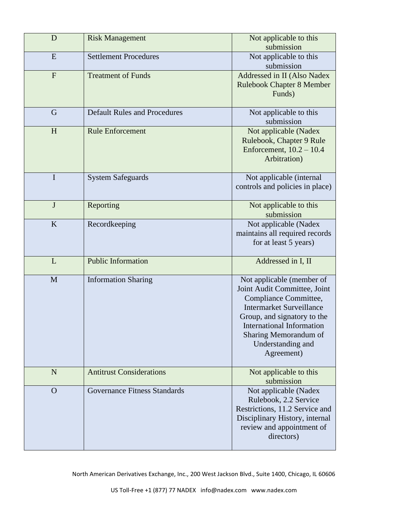| D            | <b>Risk Management</b>              | Not applicable to this<br>submission                                                                                                                                                                                                                 |  |
|--------------|-------------------------------------|------------------------------------------------------------------------------------------------------------------------------------------------------------------------------------------------------------------------------------------------------|--|
| E            | <b>Settlement Procedures</b>        | Not applicable to this<br>submission                                                                                                                                                                                                                 |  |
| $\mathbf{F}$ | <b>Treatment of Funds</b>           | Addressed in II (Also Nadex<br><b>Rulebook Chapter 8 Member</b><br>Funds)                                                                                                                                                                            |  |
| G            | <b>Default Rules and Procedures</b> | Not applicable to this<br>submission                                                                                                                                                                                                                 |  |
| H            | <b>Rule Enforcement</b>             | Not applicable (Nadex<br>Rulebook, Chapter 9 Rule<br>Enforcement, $10.2 - 10.4$<br>Arbitration)                                                                                                                                                      |  |
| I            | <b>System Safeguards</b>            | Not applicable (internal<br>controls and policies in place)                                                                                                                                                                                          |  |
| $\mathbf J$  | Reporting                           | Not applicable to this<br>submission                                                                                                                                                                                                                 |  |
| K            | Recordkeeping                       | Not applicable (Nadex<br>maintains all required records<br>for at least 5 years)                                                                                                                                                                     |  |
| L            | <b>Public Information</b>           | Addressed in I, II                                                                                                                                                                                                                                   |  |
| M            | <b>Information Sharing</b>          | Not applicable (member of<br>Joint Audit Committee, Joint<br>Compliance Committee,<br><b>Intermarket Surveillance</b><br>Group, and signatory to the<br><b>International Information</b><br>Sharing Memorandum of<br>Understanding and<br>Agreement) |  |
| N            | <b>Antitrust Considerations</b>     | Not applicable to this<br>submission                                                                                                                                                                                                                 |  |
| $\Omega$     | <b>Governance Fitness Standards</b> | Not applicable (Nadex<br>Rulebook, 2.2 Service<br>Restrictions, 11.2 Service and<br>Disciplinary History, internal<br>review and appointment of<br>directors)                                                                                        |  |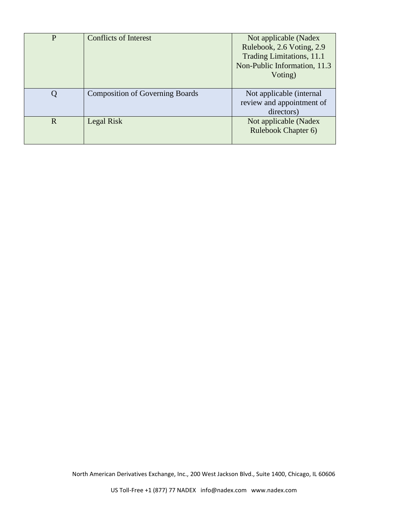| P           | <b>Conflicts of Interest</b>           | Not applicable (Nadex        |  |
|-------------|----------------------------------------|------------------------------|--|
|             |                                        | Rulebook, 2.6 Voting, 2.9    |  |
|             |                                        | Trading Limitations, 11.1    |  |
|             |                                        | Non-Public Information, 11.3 |  |
|             |                                        | Voting)                      |  |
|             |                                        |                              |  |
|             | <b>Composition of Governing Boards</b> | Not applicable (internal     |  |
|             |                                        | review and appointment of    |  |
|             |                                        | directors)                   |  |
| $\mathbf R$ | Legal Risk                             | Not applicable (Nadex        |  |
|             |                                        | Rulebook Chapter 6)          |  |
|             |                                        |                              |  |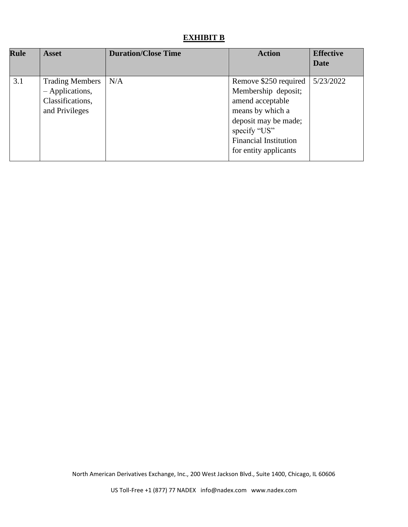# **EXHIBIT B**

| <b>Rule</b> | <b>Asset</b>                                                                    | <b>Duration/Close Time</b> | <b>Action</b>                                                                                                                                                                         | <b>Effective</b><br><b>Date</b> |
|-------------|---------------------------------------------------------------------------------|----------------------------|---------------------------------------------------------------------------------------------------------------------------------------------------------------------------------------|---------------------------------|
| 3.1         | <b>Trading Members</b><br>- Applications,<br>Classifications,<br>and Privileges | N/A                        | Remove \$250 required<br>Membership deposit;<br>amend acceptable<br>means by which a<br>deposit may be made;<br>specify "US"<br><b>Financial Institution</b><br>for entity applicants | 5/23/2022                       |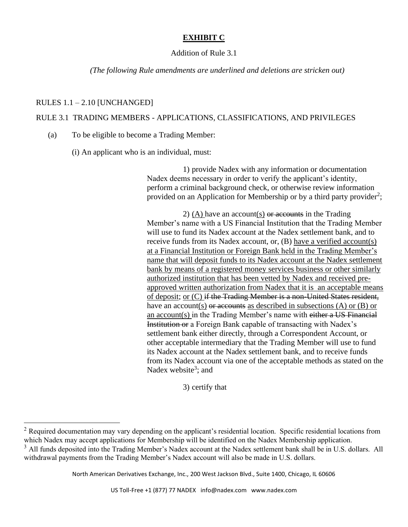## **EXHIBIT C**

## Addition of Rule 3.1

*(The following Rule amendments are underlined and deletions are stricken out)*

## RULES  $1.1 - 2.10$  [UNCHANGED]

## RULE 3.1 TRADING MEMBERS - APPLICATIONS, CLASSIFICATIONS, AND PRIVILEGES

(a) To be eligible to become a Trading Member:

(i) An applicant who is an individual, must:

1) provide Nadex with any information or documentation Nadex deems necessary in order to verify the applicant's identity, perform a criminal background check, or otherwise review information provided on an Application for Membership or by a third party provider<sup>2</sup>;

2) (A) have an account(s)  $\theta$  accounts in the Trading Member's name with a US Financial Institution that the Trading Member will use to fund its Nadex account at the Nadex settlement bank, and to receive funds from its Nadex account, or, (B) have a verified account(s) at a Financial Institution or Foreign Bank held in the Trading Member's name that will deposit funds to its Nadex account at the Nadex settlement bank by means of a registered money services business or other similarly authorized institution that has been vetted by Nadex and received preapproved written authorization from Nadex that it is an acceptable means of deposit; or (C) if the Trading Member is a non-United States resident, have an account(s) or accounts as described in subsections (A) or  $(B)$  or an account(s) in the Trading Member's name with either a US Financial Institution or a Foreign Bank capable of transacting with Nadex's settlement bank either directly, through a Correspondent Account, or other acceptable intermediary that the Trading Member will use to fund its Nadex account at the Nadex settlement bank, and to receive funds from its Nadex account via one of the acceptable methods as stated on the Nadex website<sup>3</sup>; and

3) certify that

<sup>&</sup>lt;sup>2</sup> Required documentation may vary depending on the applicant's residential location. Specific residential locations from which Nadex may accept applications for Membership will be identified on the Nadex Membership application.

<sup>&</sup>lt;sup>3</sup> All funds deposited into the Trading Member's Nadex account at the Nadex settlement bank shall be in U.S. dollars. All withdrawal payments from the Trading Member's Nadex account will also be made in U.S. dollars.

North American Derivatives Exchange, Inc., 200 West Jackson Blvd., Suite 1400, Chicago, IL 60606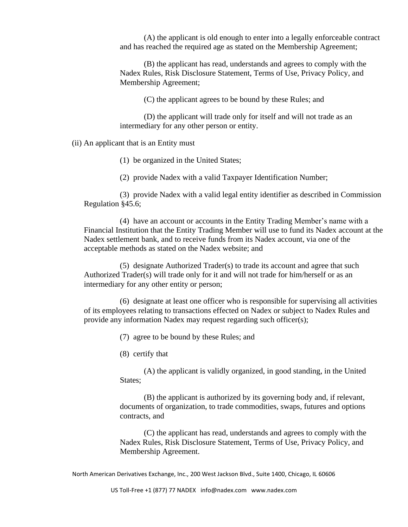(A) the applicant is old enough to enter into a legally enforceable contract and has reached the required age as stated on the Membership Agreement;

(B) the applicant has read, understands and agrees to comply with the Nadex Rules, Risk Disclosure Statement, Terms of Use, Privacy Policy, and Membership Agreement;

(C) the applicant agrees to be bound by these Rules; and

(D) the applicant will trade only for itself and will not trade as an intermediary for any other person or entity.

(ii) An applicant that is an Entity must

(1) be organized in the United States;

(2) provide Nadex with a valid Taxpayer Identification Number;

(3) provide Nadex with a valid legal entity identifier as described in Commission Regulation §45.6;

(4) have an account or accounts in the Entity Trading Member's name with a Financial Institution that the Entity Trading Member will use to fund its Nadex account at the Nadex settlement bank, and to receive funds from its Nadex account, via one of the acceptable methods as stated on the Nadex website; and

(5) designate Authorized Trader(s) to trade its account and agree that such Authorized Trader(s) will trade only for it and will not trade for him/herself or as an intermediary for any other entity or person;

(6) designate at least one officer who is responsible for supervising all activities of its employees relating to transactions effected on Nadex or subject to Nadex Rules and provide any information Nadex may request regarding such officer(s);

(7) agree to be bound by these Rules; and

(8) certify that

(A) the applicant is validly organized, in good standing, in the United States:

(B) the applicant is authorized by its governing body and, if relevant, documents of organization, to trade commodities, swaps, futures and options contracts, and

(C) the applicant has read, understands and agrees to comply with the Nadex Rules, Risk Disclosure Statement, Terms of Use, Privacy Policy, and Membership Agreement.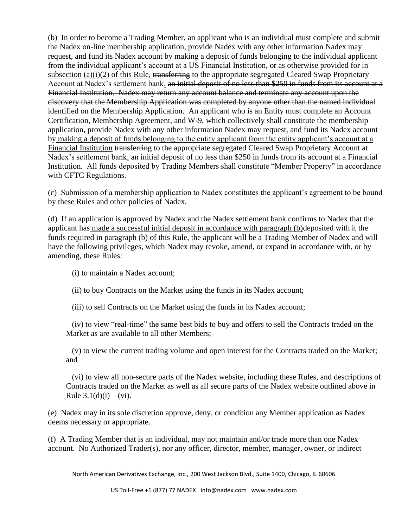(b) In order to become a Trading Member, an applicant who is an individual must complete and submit the Nadex on-line membership application, provide Nadex with any other information Nadex may request, and fund its Nadex account by making a deposit of funds belonging to the individual applicant from the individual applicant's account at a US Financial Institution, or as otherwise provided for in subsection (a)(i)(2) of this Rule, transferring to the appropriate segregated Cleared Swap Proprietary Account at Nadex's settlement bank. an initial deposit of no less than \$250 in funds from its account at a Financial Institution. Nadex may return any account balance and terminate any account upon the discovery that the Membership Application was completed by anyone other than the named individual identified on the Membership Application. An applicant who is an Entity must complete an Account Certification, Membership Agreement, and W-9, which collectively shall constitute the membership application, provide Nadex with any other information Nadex may request, and fund its Nadex account by making a deposit of funds belonging to the entity applicant from the entity applicant's account at a Financial Institution transferring to the appropriate segregated Cleared Swap Proprietary Account at Nadex's settlement bank. an initial deposit of no less than \$250 in funds from its account at a Financial Institution. All funds deposited by Trading Members shall constitute "Member Property" in accordance with CFTC Regulations.

(c) Submission of a membership application to Nadex constitutes the applicant's agreement to be bound by these Rules and other policies of Nadex.

(d) If an application is approved by Nadex and the Nadex settlement bank confirms to Nadex that the applicant has made a successful initial deposit in accordance with paragraph (b)deposited with it the funds required in paragraph (b) of this Rule, the applicant will be a Trading Member of Nadex and will have the following privileges, which Nadex may revoke, amend, or expand in accordance with, or by amending, these Rules:

(i) to maintain a Nadex account;

(ii) to buy Contracts on the Market using the funds in its Nadex account;

(iii) to sell Contracts on the Market using the funds in its Nadex account;

(iv) to view "real-time" the same best bids to buy and offers to sell the Contracts traded on the Market as are available to all other Members;

(v) to view the current trading volume and open interest for the Contracts traded on the Market; and

(vi) to view all non-secure parts of the Nadex website, including these Rules, and descriptions of Contracts traded on the Market as well as all secure parts of the Nadex website outlined above in Rule  $3.1(d)(i) - (vi)$ .

(e) Nadex may in its sole discretion approve, deny, or condition any Member application as Nadex deems necessary or appropriate.

(f) A Trading Member that is an individual, may not maintain and/or trade more than one Nadex account. No Authorized Trader(s), nor any officer, director, member, manager, owner, or indirect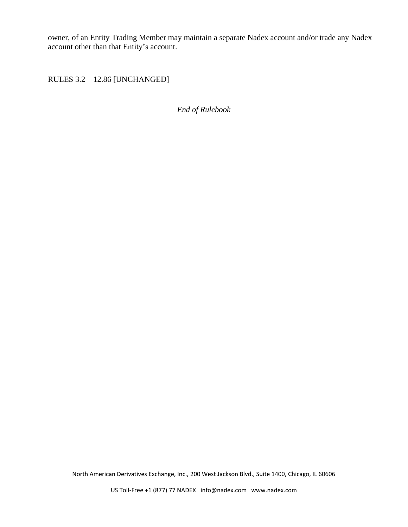owner, of an Entity Trading Member may maintain a separate Nadex account and/or trade any Nadex account other than that Entity's account.

RULES 3.2 – 12.86 [UNCHANGED]

*End of Rulebook*

North American Derivatives Exchange, Inc., 200 West Jackson Blvd., Suite 1400, Chicago, IL 60606

US Toll-Free +1 (877) 77 NADEX info@nadex.com www.nadex.com